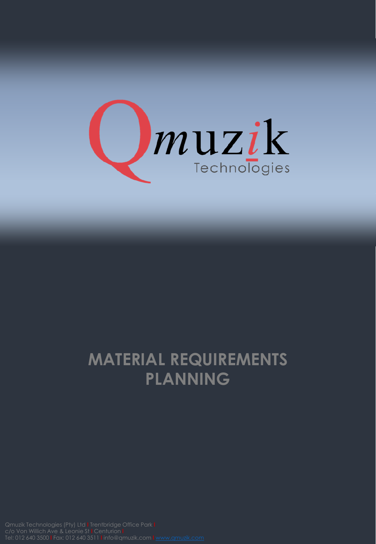

## **MATERIAL REQUIREMENTS PLANNING**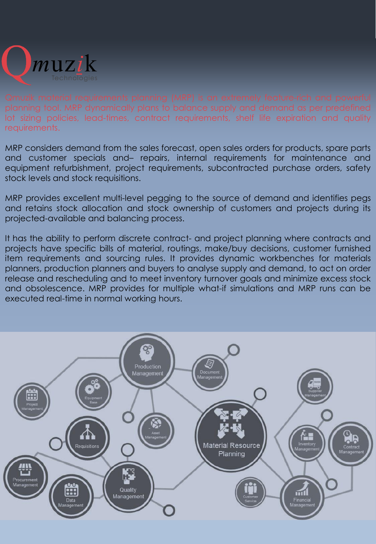

lot sizing policies, lead-times, contract requirements, shelf life expiration and quality requirements.

MRP considers demand from the sales forecast, open sales orders for products, spare parts and customer specials and– repairs, internal requirements for maintenance and equipment refurbishment, project requirements, subcontracted purchase orders, safety stock levels and stock requisitions.

MRP provides excellent multi-level pegging to the source of demand and identifies pegs and retains stock allocation and stock ownership of customers and projects during its projected-available and balancing process.

It has the ability to perform discrete contract- and project planning where contracts and projects have specific bills of material, routings, make/buy decisions, customer furnished item requirements and sourcing rules. It provides dynamic workbenches for materials planners, production planners and buyers to analyse supply and demand, to act on order release and rescheduling and to meet inventory turnover goals and minimize excess stock and obsolescence. MRP provides for multiple what-if simulations and MRP runs can be executed real-time in normal working hours.